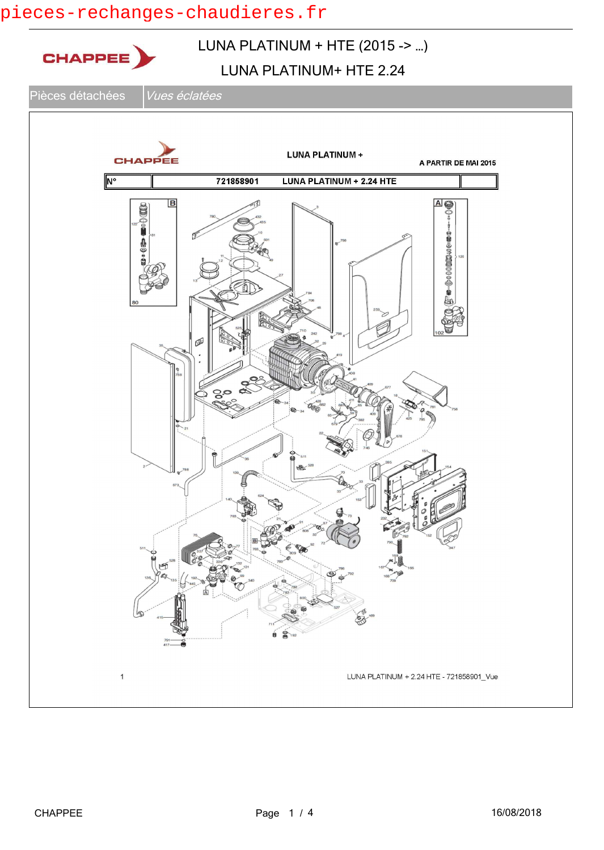# pieces-rechanges-chaudieres.fr

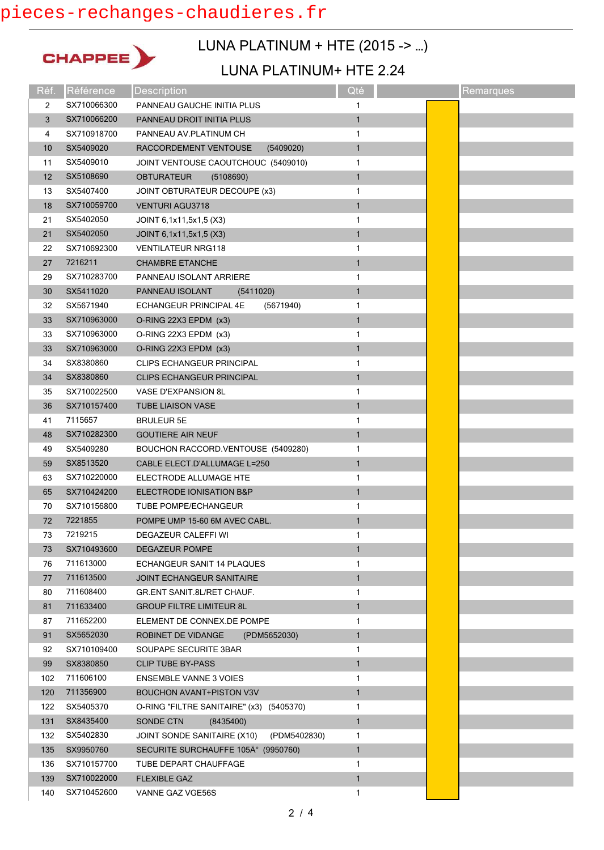## pieces-rechanges-chaudieres.fr



## LUNA PLATINUM + HTE (2015 -> …)

#### LUNA PLATINUM+ HTE 2.24

| Réf. | Référence   | Description                                 | Qté          | Remarques |
|------|-------------|---------------------------------------------|--------------|-----------|
| 2    | SX710066300 | PANNEAU GAUCHE INITIA PLUS                  | 1            |           |
| 3    | SX710066200 | PANNEAU DROIT INITIA PLUS                   | $\mathbf{1}$ |           |
| 4    | SX710918700 | PANNEAU AV.PLATINUM CH                      | 1            |           |
| 10   | SX5409020   | RACCORDEMENT VENTOUSE<br>(5409020)          | $\mathbf{1}$ |           |
| 11   | SX5409010   | JOINT VENTOUSE CAOUTCHOUC (5409010)         | 1            |           |
| 12   | SX5108690   | <b>OBTURATEUR</b><br>(5108690)              | $\mathbf{1}$ |           |
| 13   | SX5407400   | JOINT OBTURATEUR DECOUPE (x3)               | 1            |           |
| 18   | SX710059700 | <b>VENTURI AGU3718</b>                      | $\mathbf{1}$ |           |
| 21   | SX5402050   | JOINT 6,1x11,5x1,5 (X3)                     | 1            |           |
| 21   | SX5402050   | JOINT 6,1x11,5x1,5 (X3)                     | 1            |           |
| 22   | SX710692300 | <b>VENTILATEUR NRG118</b>                   | 1            |           |
| 27   | 7216211     | <b>CHAMBRE ETANCHE</b>                      | $\mathbf{1}$ |           |
| 29   | SX710283700 | PANNEAU ISOLANT ARRIERE                     | 1            |           |
| 30   | SX5411020   | PANNEAU ISOLANT<br>(5411020)                | $\mathbf{1}$ |           |
| 32   | SX5671940   | ECHANGEUR PRINCIPAL 4E<br>(5671940)         | 1            |           |
| 33   | SX710963000 | O-RING 22X3 EPDM (x3)                       | $\mathbf{1}$ |           |
| 33   | SX710963000 | O-RING 22X3 EPDM (x3)                       | 1            |           |
| 33   | SX710963000 | O-RING 22X3 EPDM (x3)                       | $\mathbf{1}$ |           |
| 34   | SX8380860   | <b>CLIPS ECHANGEUR PRINCIPAL</b>            | 1            |           |
| 34   | SX8380860   | <b>CLIPS ECHANGEUR PRINCIPAL</b>            | $\mathbf{1}$ |           |
| 35   | SX710022500 | <b>VASE D'EXPANSION 8L</b>                  | 1            |           |
| 36   | SX710157400 | <b>TUBE LIAISON VASE</b>                    | $\mathbf{1}$ |           |
| 41   | 7115657     | <b>BRULEUR 5E</b>                           | 1            |           |
| 48   | SX710282300 | <b>GOUTIERE AIR NEUF</b>                    | $\mathbf{1}$ |           |
| 49   | SX5409280   | BOUCHON RACCORD. VENTOUSE (5409280)         | 1            |           |
| 59   | SX8513520   | CABLE ELECT.D'ALLUMAGE L=250                | $\mathbf{1}$ |           |
| 63   | SX710220000 | ELECTRODE ALLUMAGE HTE                      | 1            |           |
| 65   | SX710424200 | ELECTRODE IONISATION B&P                    | $\mathbf{1}$ |           |
| 70   | SX710156800 | <b>TUBE POMPE/ECHANGEUR</b>                 | 1            |           |
| 72   | 7221855     | POMPE UMP 15-60 6M AVEC CABL.               | $\mathbf{1}$ |           |
| 73   | 7219215     | DEGAZEUR CALEFFI WI                         | 1            |           |
| 73   | SX710493600 | <b>DEGAZEUR POMPE</b>                       | 1            |           |
| 76   | 711613000   | ECHANGEUR SANIT 14 PLAQUES                  | 1            |           |
| 77   | 711613500   | <b>JOINT ECHANGEUR SANITAIRE</b>            | $\mathbf{1}$ |           |
| 80   | 711608400   | <b>GR.ENT SANIT 8L/RET CHAUF.</b>           | 1            |           |
| 81   | 711633400   | <b>GROUP FILTRE LIMITEUR 8L</b>             | $\mathbf{1}$ |           |
| 87   | 711652200   | ELEMENT DE CONNEX.DE POMPE                  | 1            |           |
| 91   | SX5652030   | ROBINET DE VIDANGE<br>(PDM5652030)          | $\mathbf{1}$ |           |
| 92   | SX710109400 | SOUPAPE SECURITE 3BAR                       | 1            |           |
| 99   | SX8380850   | <b>CLIP TUBE BY-PASS</b>                    | 1            |           |
| 102  | 711606100   | <b>ENSEMBLE VANNE 3 VOIES</b>               | 1            |           |
| 120  | 711356900   | <b>BOUCHON AVANT+PISTON V3V</b>             | $\mathbf{1}$ |           |
| 122  | SX5405370   | O-RING "FILTRE SANITAIRE" (x3) (5405370)    | 1            |           |
| 131  | SX8435400   | SONDE CTN<br>(8435400)                      | $\mathbf{1}$ |           |
| 132  | SX5402830   | (PDM5402830)<br>JOINT SONDE SANITAIRE (X10) | 1            |           |
| 135  | SX9950760   | SECURITE SURCHAUFFE 105° (9950760)          | $\mathbf{1}$ |           |
| 136  | SX710157700 | TUBE DEPART CHAUFFAGE                       | 1            |           |
| 139  | SX710022000 | <b>FLEXIBLE GAZ</b>                         | $\mathbf{1}$ |           |
| 140  | SX710452600 | VANNE GAZ VGE56S                            | 1            |           |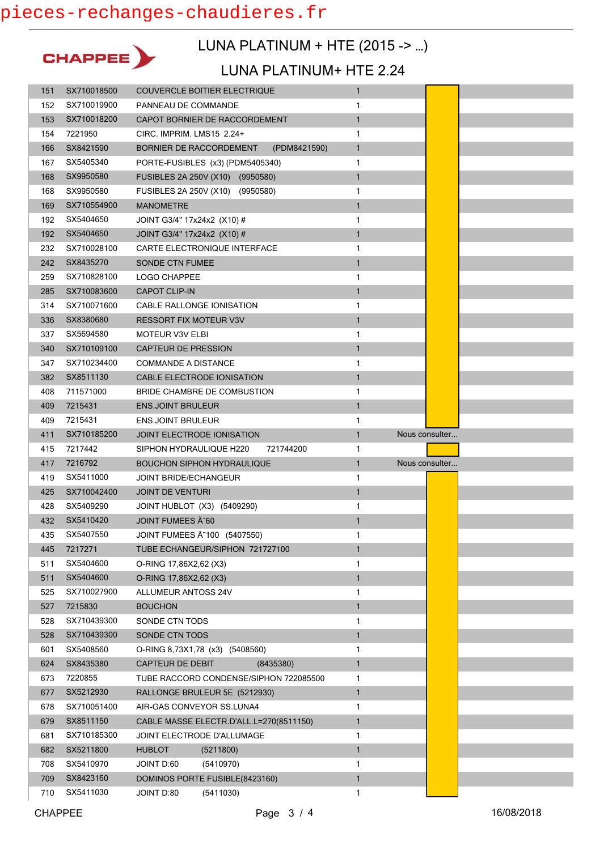

### LUNA PLATINUM + HTE (2015 -> …)

#### LUNA PLATINUM+ HTE 2.24

| 151        | SX710018500            | <b>COUVERCLE BOITIER ELECTRIQUE</b>     | $\mathbf{1}$ |                |  |
|------------|------------------------|-----------------------------------------|--------------|----------------|--|
| 152        | SX710019900            | PANNEAU DE COMMANDE                     | 1            |                |  |
| 153        | SX710018200            | CAPOT BORNIER DE RACCORDEMENT           | $\mathbf{1}$ |                |  |
| 154        | 7221950                | CIRC. IMPRIM. LMS15 2.24+               | 1            |                |  |
| 166        | SX8421590              | BORNIER DE RACCORDEMENT<br>(PDM8421590) | $\mathbf{1}$ |                |  |
| 167        | SX5405340              | PORTE-FUSIBLES (x3) (PDM5405340)        | 1            |                |  |
| 168        | SX9950580              | FUSIBLES 2A 250V (X10) (9950580)        | $\mathbf{1}$ |                |  |
| 168        | SX9950580              | FUSIBLES 2A 250V (X10) (9950580)        | 1            |                |  |
| 169        | SX710554900            | <b>MANOMETRE</b>                        | 1            |                |  |
| 192        | SX5404650              | JOINT G3/4" 17x24x2 (X10) #             | 1            |                |  |
| 192        | SX5404650              | JOINT G3/4" 17x24x2 (X10) #             | $\mathbf{1}$ |                |  |
| 232        | SX710028100            | CARTE ELECTRONIQUE INTERFACE            | 1            |                |  |
| 242        | SX8435270              | <b>SONDE CTN FUMEE</b>                  | $\mathbf{1}$ |                |  |
| 259        | SX710828100            | LOGO CHAPPEE                            | 1            |                |  |
| 285        | SX710083600            | <b>CAPOT CLIP-IN</b>                    | $\mathbf{1}$ |                |  |
| 314        | SX710071600            | CABLE RALLONGE IONISATION               | 1            |                |  |
| 336        | SX8380680              | <b>RESSORT FIX MOTEUR V3V</b>           | $\mathbf{1}$ |                |  |
| 337        | SX5694580              | <b>MOTEUR V3V ELBI</b>                  | 1            |                |  |
| 340        | SX710109100            | <b>CAPTEUR DE PRESSION</b>              | $\mathbf{1}$ |                |  |
| 347        | SX710234400            | <b>COMMANDE A DISTANCE</b>              | 1            |                |  |
| 382        | SX8511130              | CABLE ELECTRODE IONISATION              | 1            |                |  |
| 408        | 711571000              | BRIDE CHAMBRE DE COMBUSTION             | 1            |                |  |
| 409        | 7215431                | <b>ENS.JOINT BRULEUR</b>                | $\mathbf{1}$ |                |  |
| 409        | 7215431                | <b>ENS.JOINT BRULEUR</b>                | 1            |                |  |
| 411        | SX710185200            | JOINT ELECTRODE IONISATION              | $\mathbf{1}$ | Nous consulter |  |
|            |                        |                                         |              |                |  |
| 415        | 7217442                | SIPHON HYDRAULIQUE H220<br>721744200    | 1            |                |  |
| 417        | 7216792                | <b>BOUCHON SIPHON HYDRAULIQUE</b>       | $\mathbf{1}$ | Nous consulter |  |
| 419        | SX5411000              | <b>JOINT BRIDE/ECHANGEUR</b>            | 1            |                |  |
| 425        | SX710042400            | <b>JOINT DE VENTURI</b>                 | 1            |                |  |
| 428        | SX5409290              | JOINT HUBLOT (X3) (5409290)             | 1            |                |  |
| 432        | SX5410420              | JOINT FUMEES A 60                       | $\mathbf{1}$ |                |  |
| 435        | SX5407550              | JOINT FUMEES A ~ 100 (5407550)          | 1            |                |  |
| 445        | 7217271                | TUBE ECHANGEUR/SIPHON 721727100         | $\mathbf{1}$ |                |  |
| 511        | SX5404600              | O-RING 17,86X2,62 (X3)                  | 1            |                |  |
| 511        | SX5404600              | O-RING 17,86X2,62 (X3)                  | 1            |                |  |
| 525        | SX710027900            | <b>ALLUMEUR ANTOSS 24V</b>              | 1            |                |  |
| 527        | 7215830                | <b>BOUCHON</b>                          | 1            |                |  |
| 528        | SX710439300            | SONDE CTN TODS                          | 1            |                |  |
| 528        | SX710439300            | SONDE CTN TODS                          | $\mathbf{1}$ |                |  |
| 601        | SX5408560              | O-RING 8,73X1,78 (x3) (5408560)         | 1            |                |  |
| 624        | SX8435380              | <b>CAPTEUR DE DEBIT</b><br>(8435380)    | $\mathbf{1}$ |                |  |
| 673        | 7220855                | TUBE RACCORD CONDENSE/SIPHON 722085500  | 1            |                |  |
| 677        | SX5212930              | RALLONGE BRULEUR 5E (5212930)           | 1            |                |  |
| 678        | SX710051400            | AIR-GAS CONVEYOR SS.LUNA4               | 1            |                |  |
| 679        | SX8511150              | CABLE MASSE ELECTR.D'ALL.L=270(8511150) | 1            |                |  |
| 681        | SX710185300            | JOINT ELECTRODE D'ALLUMAGE              | 1            |                |  |
| 682        | SX5211800              | <b>HUBLOT</b><br>(5211800)              | $\mathbf{1}$ |                |  |
| 708        | SX5410970              | JOINT D:60<br>(5410970)                 | 1            |                |  |
| 709<br>710 | SX8423160<br>SX5411030 | DOMINOS PORTE FUSIBLE(8423160)          | $\mathbf{1}$ |                |  |